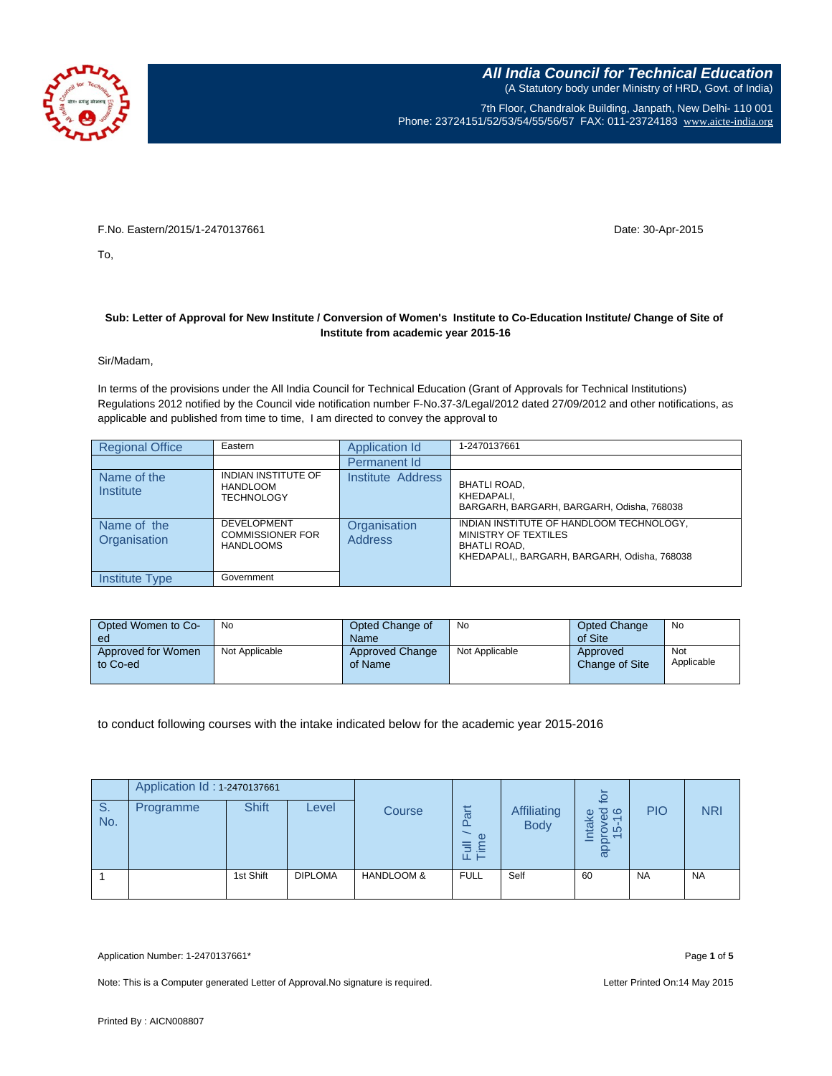

7th Floor, Chandralok Building, Janpath, New Delhi- 110 001 Phone: 23724151/52/53/54/55/56/57 FAX: 011-23724183 [www.aicte-india.org](http://www.aicte-india.org/)

F.No. Eastern/2015/1-2470137661 Date: 30-Apr-2015

To,

## **Sub: Letter of Approval for New Institute / Conversion of Women's Institute to Co-Education Institute/ Change of Site of Institute from academic year 2015-16**

Sir/Madam,

In terms of the provisions under the All India Council for Technical Education (Grant of Approvals for Technical Institutions) Regulations 2012 notified by the Council vide notification number F-No.37-3/Legal/2012 dated 27/09/2012 and other notifications, as applicable and published from time to time, I am directed to convey the approval to

| <b>Regional Office</b>      | Eastern                                                           | Application Id                 | 1-2470137661                                                                                                                            |
|-----------------------------|-------------------------------------------------------------------|--------------------------------|-----------------------------------------------------------------------------------------------------------------------------------------|
|                             |                                                                   | Permanent Id                   |                                                                                                                                         |
| Name of the<br>Institute    | INDIAN INSTITUTE OF<br><b>HANDLOOM</b><br><b>TECHNOLOGY</b>       | Institute Address              | <b>BHATLI ROAD,</b><br>KHEDAPALI,<br>BARGARH, BARGARH, BARGARH, Odisha, 768038                                                          |
| Name of the<br>Organisation | <b>DEVELOPMENT</b><br><b>COMMISSIONER FOR</b><br><b>HANDLOOMS</b> | Organisation<br><b>Address</b> | INDIAN INSTITUTE OF HANDLOOM TECHNOLOGY,<br>MINISTRY OF TEXTILES<br><b>BHATLI ROAD.</b><br>KHEDAPALI,, BARGARH, BARGARH, Odisha, 768038 |
| Institute Type              | Government                                                        |                                |                                                                                                                                         |

| Opted Women to Co-<br>ed       | No             | Opted Change of<br>Name           | No             | Opted Change<br>of Site    | No                |
|--------------------------------|----------------|-----------------------------------|----------------|----------------------------|-------------------|
| Approved for Women<br>to Co-ed | Not Applicable | <b>Approved Change</b><br>of Name | Not Applicable | Approved<br>Change of Site | Not<br>Applicable |

to conduct following courses with the intake indicated below for the academic year 2015-2016

|                       | Application Id: 1-2470137661 |              |                |                       |                           |                            |                            |            |            |
|-----------------------|------------------------------|--------------|----------------|-----------------------|---------------------------|----------------------------|----------------------------|------------|------------|
| S <sub>1</sub><br>No. | Programme                    | <b>Shift</b> | Level          | Course                | art<br>Œ<br>言<br>≦.<br>ш⊢ | Affiliating<br><b>Body</b> | oved<br>5-16<br>ntake<br>ಹ | <b>PIO</b> | <b>NRI</b> |
|                       |                              | 1st Shift    | <b>DIPLOMA</b> | <b>HANDLOOM &amp;</b> | <b>FULL</b>               | Self                       | 60                         | <b>NA</b>  | <b>NA</b>  |

Application Number: 1-2470137661\* Page **1** of **5**

Note: This is a Computer generated Letter of Approval. No signature is required. Letter Printed On:14 May 2015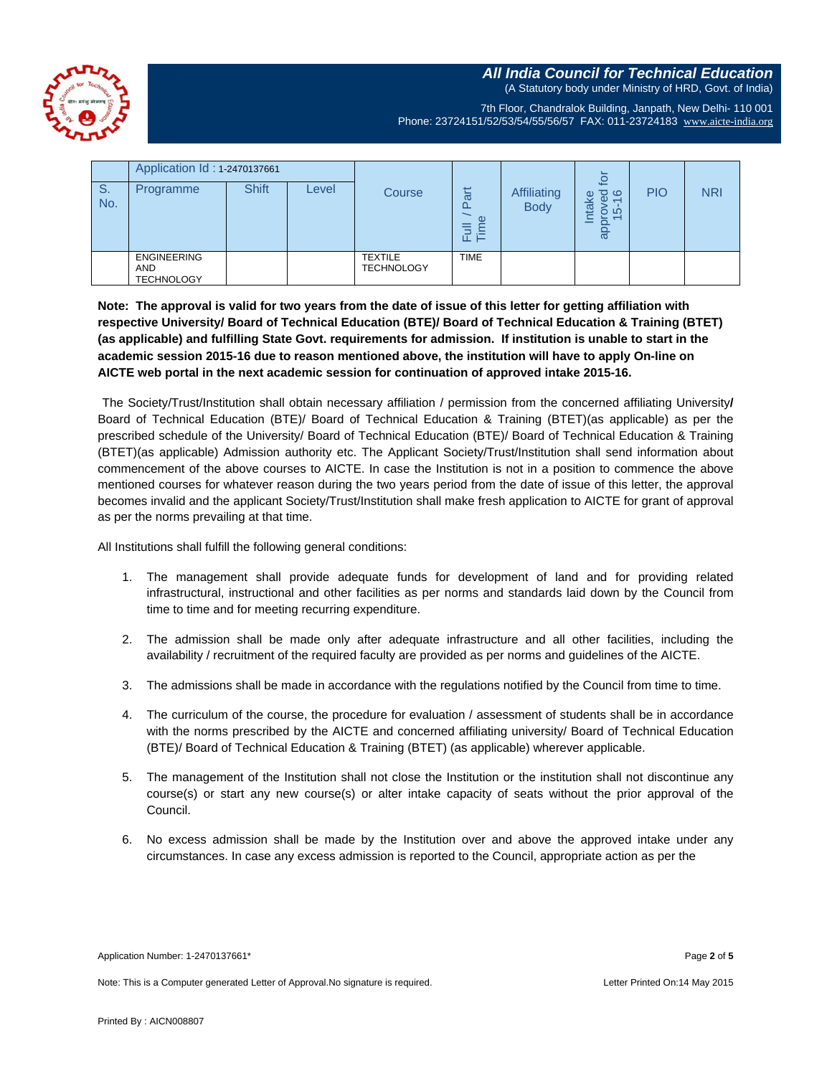**All India Council for Technical Education** (A Statutory body under Ministry of HRD, Govt. of India)



7th Floor, Chandralok Building, Janpath, New Delhi- 110 001 Phone: 23724151/52/53/54/55/56/57 FAX: 011-23724183 [www.aicte-india.org](http://www.aicte-india.org/)

|           | Application Id: 1-2470137661                          |              |       |                                     |                    |                                   | $\overline{c}$                     |            |            |
|-----------|-------------------------------------------------------|--------------|-------|-------------------------------------|--------------------|-----------------------------------|------------------------------------|------------|------------|
| S.<br>No. | Programme                                             | <b>Shift</b> | Level | Course                              | π<br>Œ<br>.≒<br>╙⊢ | <b>Affiliating</b><br><b>Body</b> | ర అ<br>take<br>Φ<br>စ် ဖ<br>_<br>ω | <b>PIO</b> | <b>NRI</b> |
|           | <b>ENGINEERING</b><br><b>AND</b><br><b>TECHNOLOGY</b> |              |       | <b>TEXTILE</b><br><b>TECHNOLOGY</b> | <b>TIME</b>        |                                   |                                    |            |            |

**Note: The approval is valid for two years from the date of issue of this letter for getting affiliation with respective University/ Board of Technical Education (BTE)/ Board of Technical Education & Training (BTET) (as applicable) and fulfilling State Govt. requirements for admission. If institution is unable to start in the academic session 2015-16 due to reason mentioned above, the institution will have to apply On-line on AICTE web portal in the next academic session for continuation of approved intake 2015-16.**

The Society/Trust/Institution shall obtain necessary affiliation / permission from the concerned affiliating University**/** Board of Technical Education (BTE)/ Board of Technical Education & Training (BTET)(as applicable) as per the prescribed schedule of the University/ Board of Technical Education (BTE)/ Board of Technical Education & Training (BTET)(as applicable) Admission authority etc. The Applicant Society/Trust/Institution shall send information about commencement of the above courses to AICTE. In case the Institution is not in a position to commence the above mentioned courses for whatever reason during the two years period from the date of issue of this letter, the approval becomes invalid and the applicant Society/Trust/Institution shall make fresh application to AICTE for grant of approval as per the norms prevailing at that time.

All Institutions shall fulfill the following general conditions:

- 1. The management shall provide adequate funds for development of land and for providing related infrastructural, instructional and other facilities as per norms and standards laid down by the Council from time to time and for meeting recurring expenditure.
- 2. The admission shall be made only after adequate infrastructure and all other facilities, including the availability / recruitment of the required faculty are provided as per norms and guidelines of the AICTE.
- 3. The admissions shall be made in accordance with the regulations notified by the Council from time to time.
- 4. The curriculum of the course, the procedure for evaluation / assessment of students shall be in accordance with the norms prescribed by the AICTE and concerned affiliating university/ Board of Technical Education (BTE)/ Board of Technical Education & Training (BTET) (as applicable) wherever applicable.
- 5. The management of the Institution shall not close the Institution or the institution shall not discontinue any course(s) or start any new course(s) or alter intake capacity of seats without the prior approval of the Council.
- 6. No excess admission shall be made by the Institution over and above the approved intake under any circumstances. In case any excess admission is reported to the Council, appropriate action as per the

Application Number: 1-2470137661\* Page **2** of **5**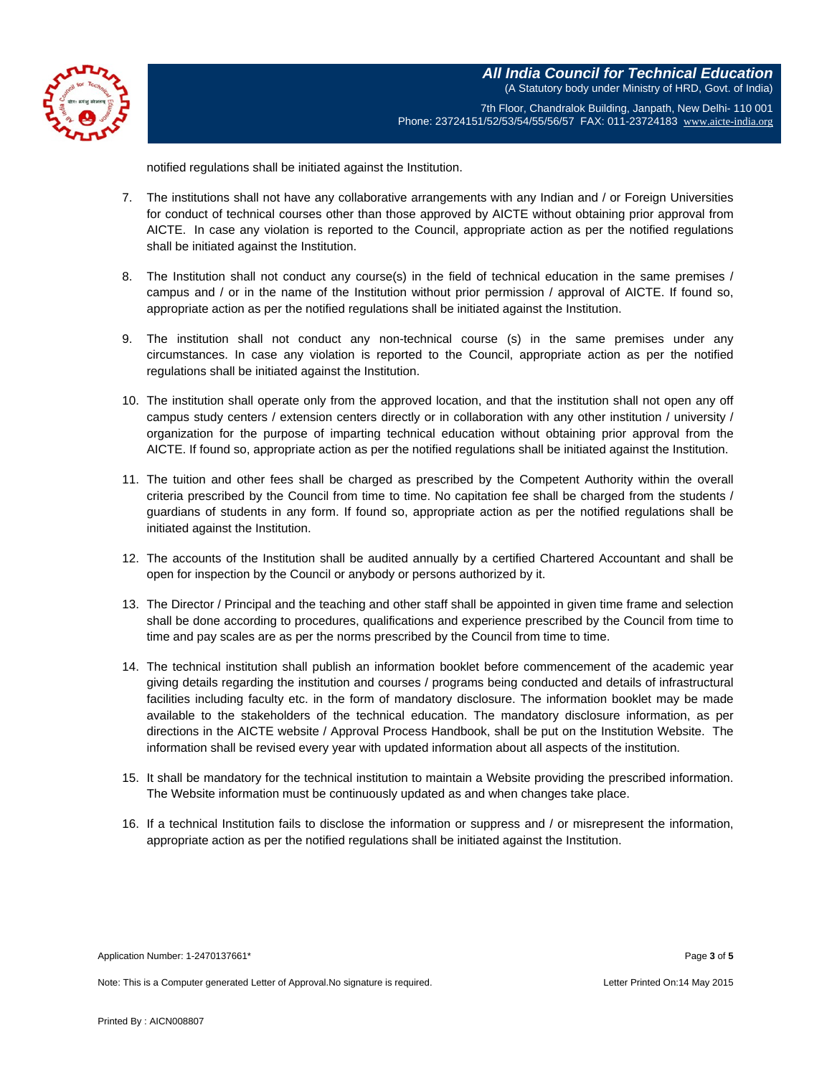

**All India Council for Technical Education** (A Statutory body under Ministry of HRD, Govt. of India)

7th Floor, Chandralok Building, Janpath, New Delhi- 110 001 Phone: 23724151/52/53/54/55/56/57 FAX: 011-23724183 [www.aicte-india.org](http://www.aicte-india.org/)

notified regulations shall be initiated against the Institution.

- 7. The institutions shall not have any collaborative arrangements with any Indian and / or Foreign Universities for conduct of technical courses other than those approved by AICTE without obtaining prior approval from AICTE. In case any violation is reported to the Council, appropriate action as per the notified regulations shall be initiated against the Institution.
- 8. The Institution shall not conduct any course(s) in the field of technical education in the same premises / campus and / or in the name of the Institution without prior permission / approval of AICTE. If found so, appropriate action as per the notified regulations shall be initiated against the Institution.
- 9. The institution shall not conduct any non-technical course (s) in the same premises under any circumstances. In case any violation is reported to the Council, appropriate action as per the notified regulations shall be initiated against the Institution.
- 10. The institution shall operate only from the approved location, and that the institution shall not open any off campus study centers / extension centers directly or in collaboration with any other institution / university / organization for the purpose of imparting technical education without obtaining prior approval from the AICTE. If found so, appropriate action as per the notified regulations shall be initiated against the Institution.
- 11. The tuition and other fees shall be charged as prescribed by the Competent Authority within the overall criteria prescribed by the Council from time to time. No capitation fee shall be charged from the students / guardians of students in any form. If found so, appropriate action as per the notified regulations shall be initiated against the Institution.
- 12. The accounts of the Institution shall be audited annually by a certified Chartered Accountant and shall be open for inspection by the Council or anybody or persons authorized by it.
- 13. The Director / Principal and the teaching and other staff shall be appointed in given time frame and selection shall be done according to procedures, qualifications and experience prescribed by the Council from time to time and pay scales are as per the norms prescribed by the Council from time to time.
- 14. The technical institution shall publish an information booklet before commencement of the academic year giving details regarding the institution and courses / programs being conducted and details of infrastructural facilities including faculty etc. in the form of mandatory disclosure. The information booklet may be made available to the stakeholders of the technical education. The mandatory disclosure information, as per directions in the AICTE website / Approval Process Handbook, shall be put on the Institution Website. The information shall be revised every year with updated information about all aspects of the institution.
- 15. It shall be mandatory for the technical institution to maintain a Website providing the prescribed information. The Website information must be continuously updated as and when changes take place.
- 16. If a technical Institution fails to disclose the information or suppress and / or misrepresent the information, appropriate action as per the notified regulations shall be initiated against the Institution.

Application Number: 1-2470137661\* Page **3** of **5**

Note: This is a Computer generated Letter of Approval.No signature is required. Letter Printed On:14 May 2015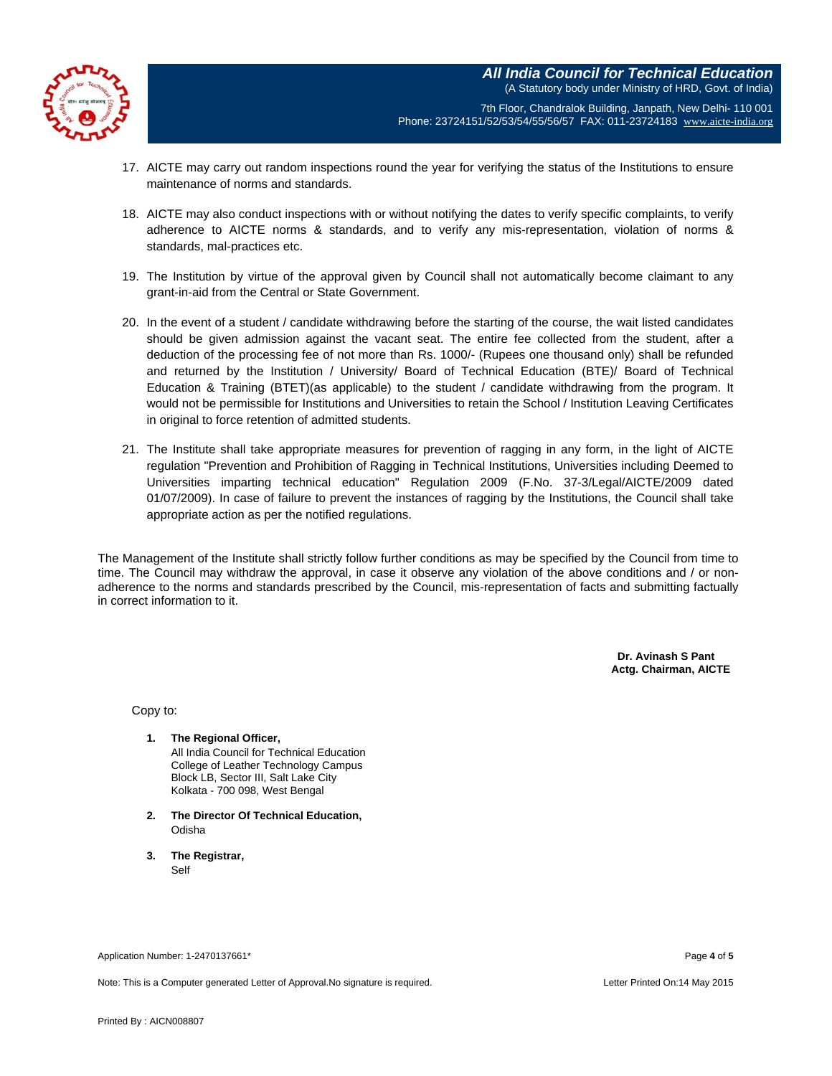

7th Floor, Chandralok Building, Janpath, New Delhi- 110 001 Phone: 23724151/52/53/54/55/56/57 FAX: 011-23724183 [www.aicte-india.org](http://www.aicte-india.org/)

- 17. AICTE may carry out random inspections round the year for verifying the status of the Institutions to ensure maintenance of norms and standards.
- 18. AICTE may also conduct inspections with or without notifying the dates to verify specific complaints, to verify adherence to AICTE norms & standards, and to verify any mis-representation, violation of norms & standards, mal-practices etc.
- 19. The Institution by virtue of the approval given by Council shall not automatically become claimant to any grant-in-aid from the Central or State Government.
- 20. In the event of a student / candidate withdrawing before the starting of the course, the wait listed candidates should be given admission against the vacant seat. The entire fee collected from the student, after a deduction of the processing fee of not more than Rs. 1000/- (Rupees one thousand only) shall be refunded and returned by the Institution / University/ Board of Technical Education (BTE)/ Board of Technical Education & Training (BTET)(as applicable) to the student / candidate withdrawing from the program. It would not be permissible for Institutions and Universities to retain the School / Institution Leaving Certificates in original to force retention of admitted students.
- 21. The Institute shall take appropriate measures for prevention of ragging in any form, in the light of AICTE regulation "Prevention and Prohibition of Ragging in Technical Institutions, Universities including Deemed to Universities imparting technical education" Regulation 2009 (F.No. 37-3/Legal/AICTE/2009 dated 01/07/2009). In case of failure to prevent the instances of ragging by the Institutions, the Council shall take appropriate action as per the notified regulations.

The Management of the Institute shall strictly follow further conditions as may be specified by the Council from time to time. The Council may withdraw the approval, in case it observe any violation of the above conditions and / or nonadherence to the norms and standards prescribed by the Council, mis-representation of facts and submitting factually in correct information to it.

> **Dr. Avinash S Pant Actg. Chairman, AICTE**

Copy to:

- **1. The Regional Officer,** All India Council for Technical Education College of Leather Technology Campus Block LB, Sector III, Salt Lake City Kolkata - 700 098, West Bengal
- **2. The Director Of Technical Education,** Odisha
- **3. The Registrar,** Self

Application Number: 1-2470137661\* Page **4** of **5**

Note: This is a Computer generated Letter of Approval.No signature is required. Letter Printed On:14 May 2015